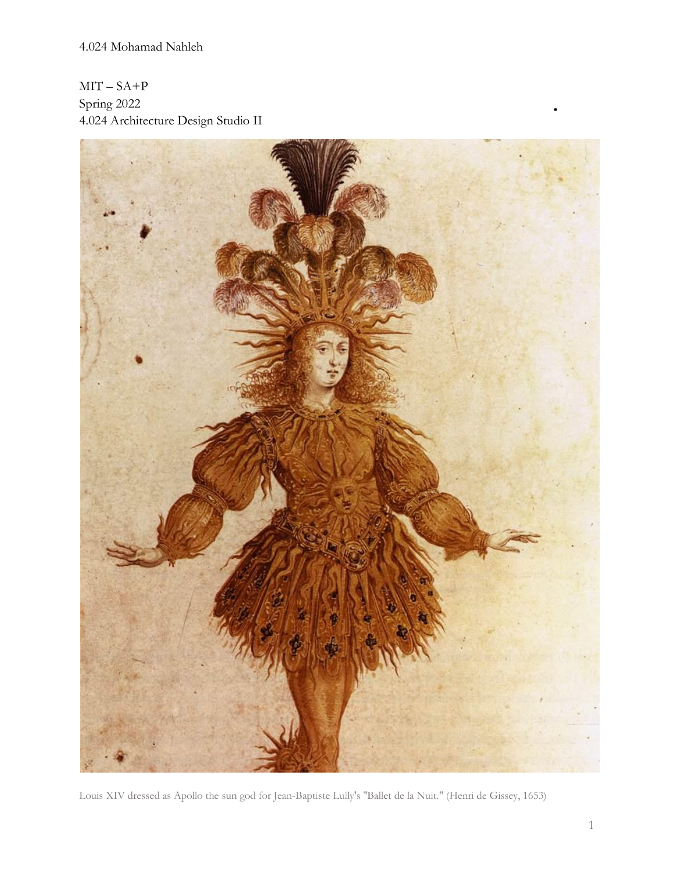$MIT - SA + P$ Spring 2022 4.024 Architecture Design Studio II



Louis XIV dressed as Apollo the sun god for Jean-Baptiste Lully's "Ballet de la Nuit." (Henri de Gissey, 1653)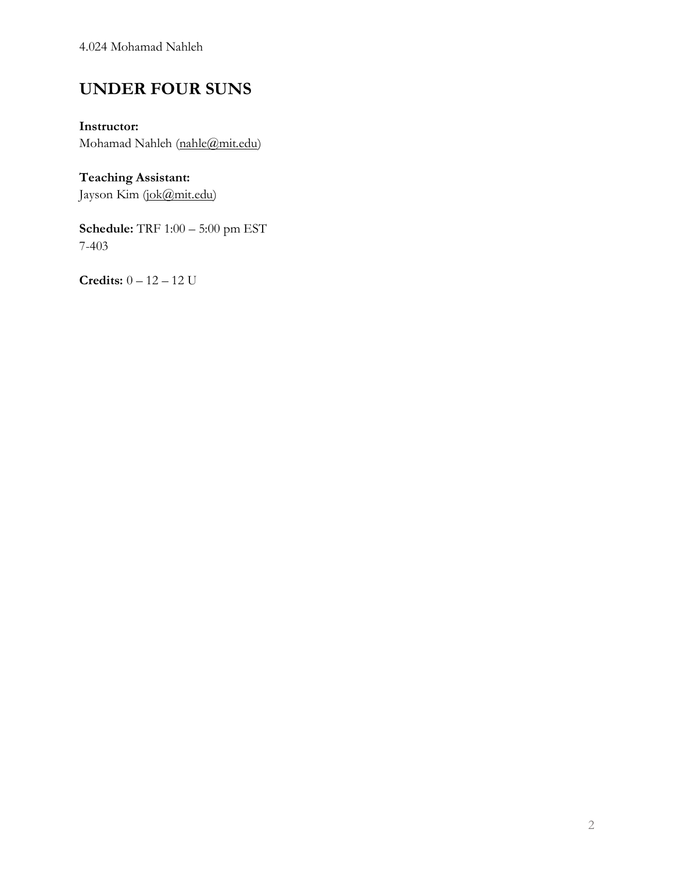4.024 Mohamad Nahleh

## **UNDER FOUR SUNS**

**Instructor:** Mohamad Nahleh [\(nahle@mit.edu\)](mailto:nahle@mit.edu)

**Teaching Assistant:** Jayson Kim (jok@mit.edu)

**Schedule:** TRF 1:00 – 5:00 pm EST 7-403

**Credits:** 0 – 12 – 12 U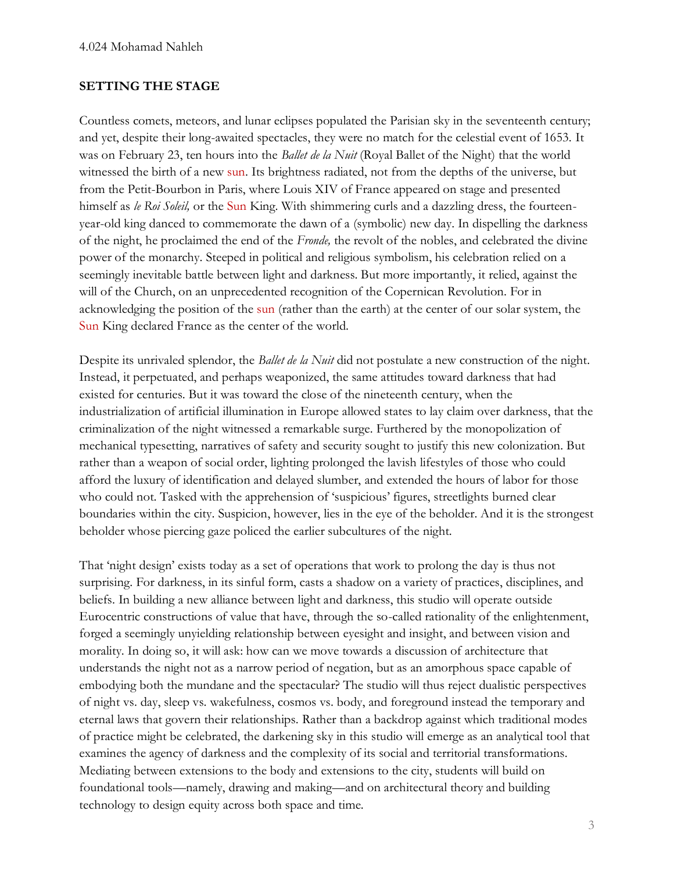#### **SETTING THE STAGE**

Countless comets, meteors, and lunar eclipses populated the Parisian sky in the seventeenth century; and yet, despite their long-awaited spectacles, they were no match for the celestial event of 1653. It was on February 23, ten hours into the *Ballet de la Nuit* (Royal Ballet of the Night) that the world witnessed the birth of a new sun. Its brightness radiated, not from the depths of the universe, but from the Petit-Bourbon in Paris, where Louis XIV of France appeared on stage and presented himself as *le Roi Soleil,* or the Sun King. With shimmering curls and a dazzling dress, the fourteenyear-old king danced to commemorate the dawn of a (symbolic) new day. In dispelling the darkness of the night, he proclaimed the end of the *Fronde,* the revolt of the nobles, and celebrated the divine power of the monarchy. Steeped in political and religious symbolism, his celebration relied on a seemingly inevitable battle between light and darkness. But more importantly, it relied, against the will of the Church, on an unprecedented recognition of the Copernican Revolution. For in acknowledging the position of the sun (rather than the earth) at the center of our solar system, the Sun King declared France as the center of the world.

Despite its unrivaled splendor, the *Ballet de la Nuit* did not postulate a new construction of the night. Instead, it perpetuated, and perhaps weaponized, the same attitudes toward darkness that had existed for centuries. But it was toward the close of the nineteenth century, when the industrialization of artificial illumination in Europe allowed states to lay claim over darkness, that the criminalization of the night witnessed a remarkable surge. Furthered by the monopolization of mechanical typesetting, narratives of safety and security sought to justify this new colonization. But rather than a weapon of social order, lighting prolonged the lavish lifestyles of those who could afford the luxury of identification and delayed slumber, and extended the hours of labor for those who could not. Tasked with the apprehension of 'suspicious' figures, streetlights burned clear boundaries within the city. Suspicion, however, lies in the eye of the beholder. And it is the strongest beholder whose piercing gaze policed the earlier subcultures of the night.

That 'night design' exists today as a set of operations that work to prolong the day is thus not surprising. For darkness, in its sinful form, casts a shadow on a variety of practices, disciplines, and beliefs. In building a new alliance between light and darkness, this studio will operate outside Eurocentric constructions of value that have, through the so-called rationality of the enlightenment, forged a seemingly unyielding relationship between eyesight and insight, and between vision and morality. In doing so, it will ask: how can we move towards a discussion of architecture that understands the night not as a narrow period of negation, but as an amorphous space capable of embodying both the mundane and the spectacular? The studio will thus reject dualistic perspectives of night vs. day, sleep vs. wakefulness, cosmos vs. body, and foreground instead the temporary and eternal laws that govern their relationships. Rather than a backdrop against which traditional modes of practice might be celebrated, the darkening sky in this studio will emerge as an analytical tool that examines the agency of darkness and the complexity of its social and territorial transformations. Mediating between extensions to the body and extensions to the city, students will build on foundational tools—namely, drawing and making—and on architectural theory and building technology to design equity across both space and time.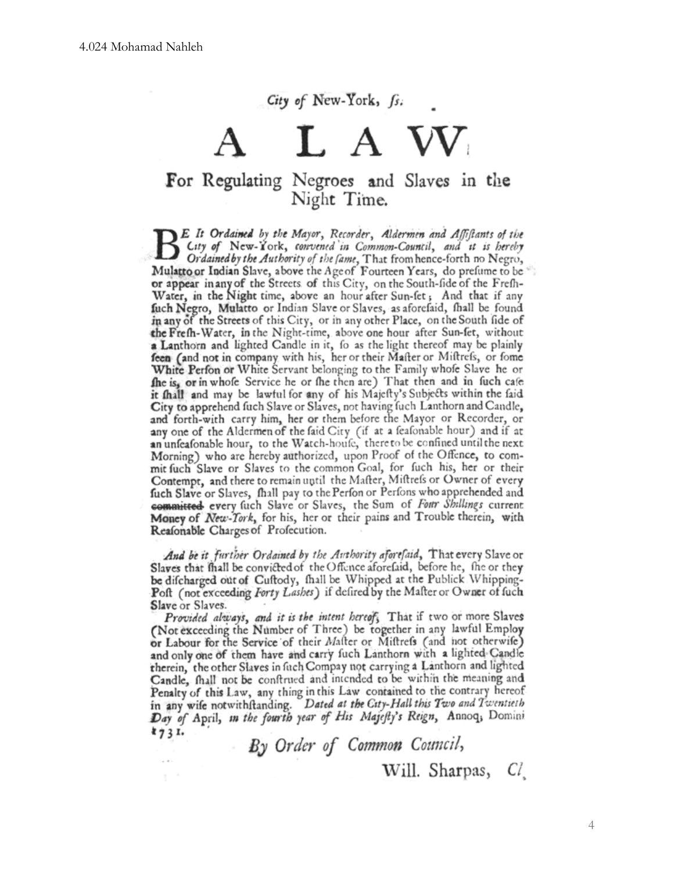## City of New-York, fs.

# L A W For Regulating Negroes and Slaves in the Night Time.

E It Ordained by the Mayor, Recorder, Aldermen and Affiftants of the City of New-York, convened in Common-Council, and it is hereby Ordained by the Authority of the fame, That from hence-forth no Negro, Mulatto or Indian Slave, above the Age of Fourteen Years, do prefume to be or appear in any of the Streets of this City, on the South-fide of the Frefh-Water, in the Night time, above an hour after Sun-fet; And that if any fuch Negro, Mulatto or Indian Slave or Slaves, as aforefaid, fhall be found in any of the Streets of this City, or in any other Place, on the South fide of the Frefh-Water, in the Night-time, above one hour after Sun-fet, without a Lanthorn and lighted Candle in it, fo as the light thereof may be plainly feen (and not in company with his, her or their Mafter or Miftrefs, or fome White Perfon or White Servant belonging to the Family whole Slave he or the is, or in whole Service he or the then are) That then and in fuch cafe it fhall and may be lawful for any of his Majefty's Subjects within the faid City to apprehend fuch Slave or Slaves, not having fuch Lanthorn and Candle, and forth-with carry him, her or them before the Mayor or Recorder, or any one of the Aldermen of the faid City (if at a feafonable hour) and if at an unfeafonable hour, to the Watch-houfe, there to be confined until the next Morning) who are hereby authorized, upon Proof of the Offence, to commit fuch Slave or Slaves to the common Goal, for fuch his, her or their Contempt, and there to remain until the Mafter, Miftrefs or Owner of every fuch Slave or Slaves, fhall pay to the Perfon or Perfons who apprehended and committed every fuch Slave or Slaves, the Sum of Four Shillings current Money of New-York, for his, her or their pains and Trouble therein, with Reafonable Charges of Profecution.

And be it further Ordained by the Authority aforefaid, That every Slave or Slaves that fhall be convicted of the Offence aforefaid, before he, the or they be difcharged out of Cuftody, fhall be Whipped at the Publick Whipping-Poft (not exceeding Forty Lashes) if defired by the Malter or Owner of fuch Slave or Slaves.

Provided always, and it is the intent hereof, That if two or more Slaves (Not exceeding the Number of Three) be together in any lawful Employ or Labour for the Service of their Malter or Miftrefs (and not otherwife) and only one of them have and carry fuch Lanthorn with a lighted Candle therein, the other Slaves in fuch Compay not carrying a Lanthorn and lighted Candle, fhall not be conftrued and intended to be within the meaning and Penalty of this Law, any thing in this Law contained to the contrary hereof in any wife notwithftanding. Dated at the City-Hall this Two and Twentieth Day of April, in the fourth year of His Majefty's Reign, Annoq, Domini  $k_{7}31.$ 

> By Order of Common Council, Will. Sharpas, Cl.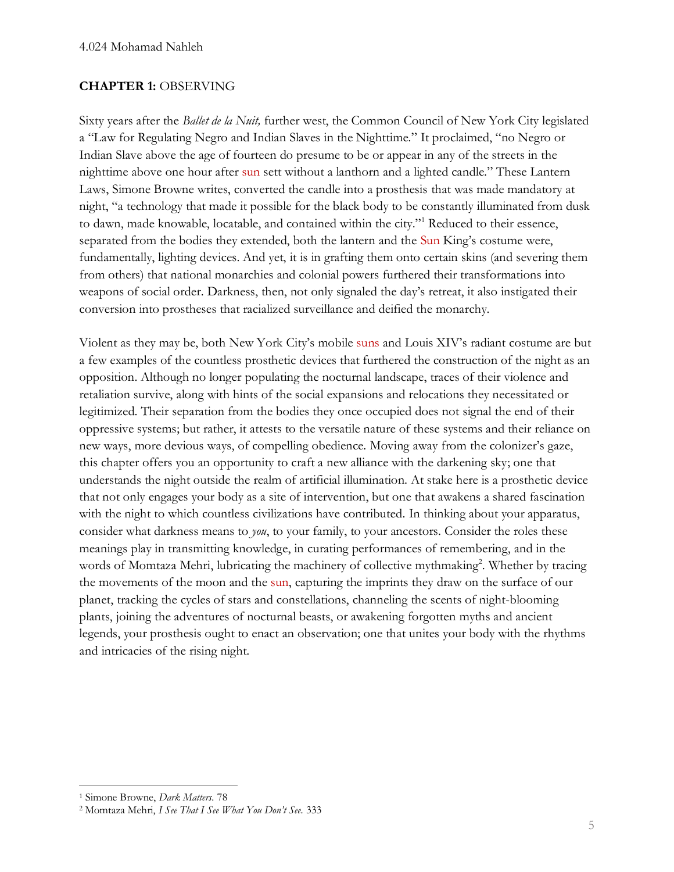#### **CHAPTER 1:** OBSERVING

Sixty years after the *Ballet de la Nuit,* further west, the Common Council of New York City legislated a "Law for Regulating Negro and Indian Slaves in the Nighttime." It proclaimed, "no Negro or Indian Slave above the age of fourteen do presume to be or appear in any of the streets in the nighttime above one hour after sun sett without a lanthorn and a lighted candle." These Lantern Laws, Simone Browne writes, converted the candle into a prosthesis that was made mandatory at night, "a technology that made it possible for the black body to be constantly illuminated from dusk to dawn, made knowable, locatable, and contained within the city."<sup>1</sup> Reduced to their essence, separated from the bodies they extended, both the lantern and the Sun King's costume were, fundamentally, lighting devices. And yet, it is in grafting them onto certain skins (and severing them from others) that national monarchies and colonial powers furthered their transformations into weapons of social order. Darkness, then, not only signaled the day's retreat, it also instigated their conversion into prostheses that racialized surveillance and deified the monarchy.

Violent as they may be, both New York City's mobile suns and Louis XIV's radiant costume are but a few examples of the countless prosthetic devices that furthered the construction of the night as an opposition. Although no longer populating the nocturnal landscape, traces of their violence and retaliation survive, along with hints of the social expansions and relocations they necessitated or legitimized. Their separation from the bodies they once occupied does not signal the end of their oppressive systems; but rather, it attests to the versatile nature of these systems and their reliance on new ways, more devious ways, of compelling obedience. Moving away from the colonizer's gaze, this chapter offers you an opportunity to craft a new alliance with the darkening sky; one that understands the night outside the realm of artificial illumination. At stake here is a prosthetic device that not only engages your body as a site of intervention, but one that awakens a shared fascination with the night to which countless civilizations have contributed. In thinking about your apparatus, consider what darkness means to *you*, to your family, to your ancestors. Consider the roles these meanings play in transmitting knowledge, in curating performances of remembering, and in the words of Momtaza Mehri, lubricating the machinery of collective mythmaking<sup>2</sup>. Whether by tracing the movements of the moon and the sun, capturing the imprints they draw on the surface of our planet, tracking the cycles of stars and constellations, channeling the scents of night-blooming plants, joining the adventures of nocturnal beasts, or awakening forgotten myths and ancient legends, your prosthesis ought to enact an observation; one that unites your body with the rhythms and intricacies of the rising night.

<sup>1</sup> Simone Browne, *Dark Matters.* 78

<sup>2</sup> Momtaza Mehri, *I See That I See What You Don't See.* 333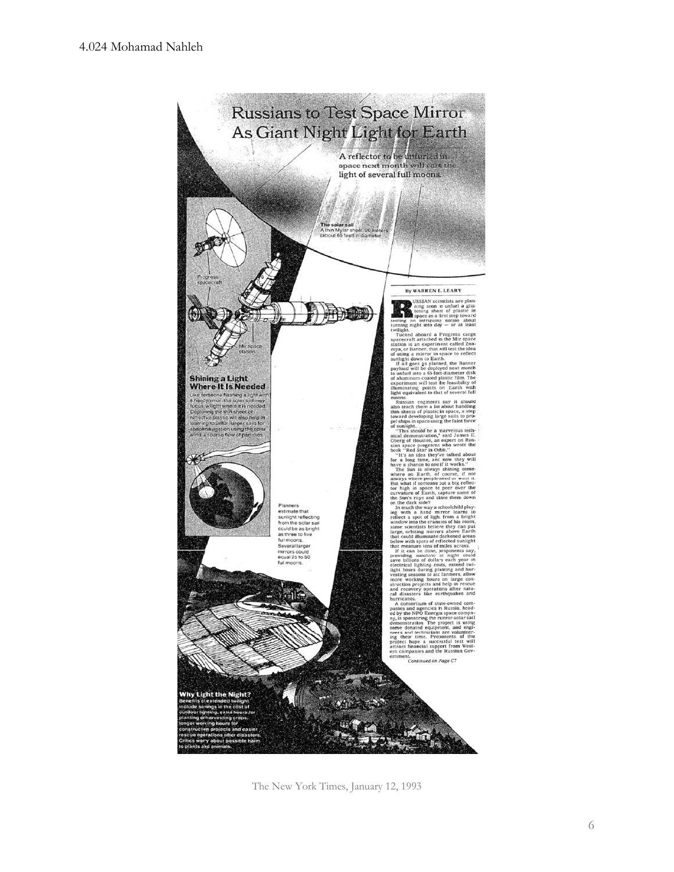

The New York Times, January 12, 1993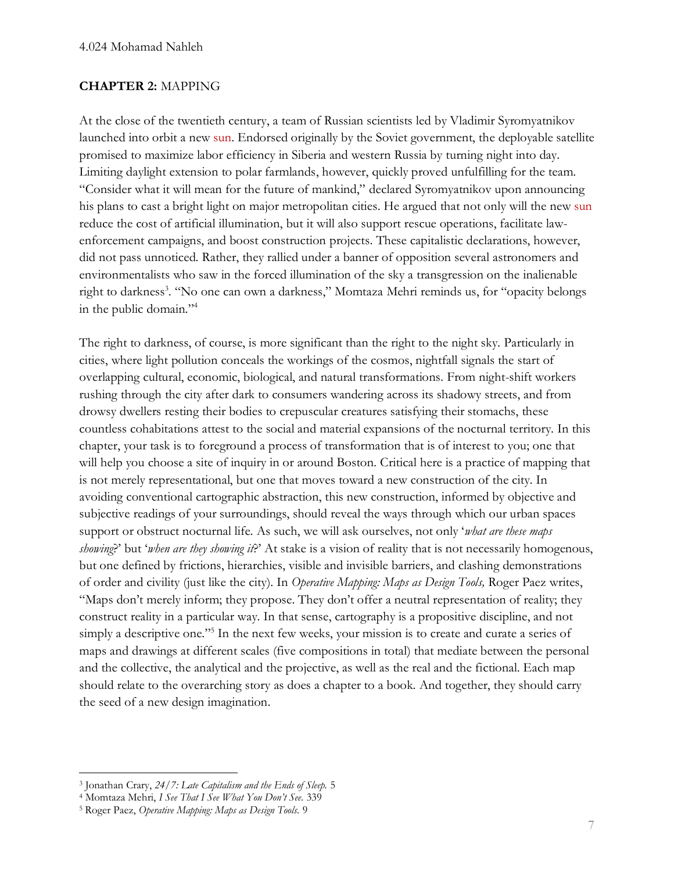#### **CHAPTER 2:** MAPPING

At the close of the twentieth century, a team of Russian scientists led by Vladimir Syromyatnikov launched into orbit a new sun. Endorsed originally by the Soviet government, the deployable satellite promised to maximize labor efficiency in Siberia and western Russia by turning night into day. Limiting daylight extension to polar farmlands, however, quickly proved unfulfilling for the team. "Consider what it will mean for the future of mankind," declared Syromyatnikov upon announcing his plans to cast a bright light on major metropolitan cities. He argued that not only will the new sun reduce the cost of artificial illumination, but it will also support rescue operations, facilitate lawenforcement campaigns, and boost construction projects. These capitalistic declarations, however, did not pass unnoticed. Rather, they rallied under a banner of opposition several astronomers and environmentalists who saw in the forced illumination of the sky a transgression on the inalienable right to darkness<sup>3</sup>. "No one can own a darkness," Momtaza Mehri reminds us, for "opacity belongs in the public domain."<sup>4</sup>

The right to darkness, of course, is more significant than the right to the night sky. Particularly in cities, where light pollution conceals the workings of the cosmos, nightfall signals the start of overlapping cultural, economic, biological, and natural transformations. From night-shift workers rushing through the city after dark to consumers wandering across its shadowy streets, and from drowsy dwellers resting their bodies to crepuscular creatures satisfying their stomachs, these countless cohabitations attest to the social and material expansions of the nocturnal territory. In this chapter, your task is to foreground a process of transformation that is of interest to you; one that will help you choose a site of inquiry in or around Boston. Critical here is a practice of mapping that is not merely representational, but one that moves toward a new construction of the city. In avoiding conventional cartographic abstraction, this new construction, informed by objective and subjective readings of your surroundings, should reveal the ways through which our urban spaces support or obstruct nocturnal life. As such, we will ask ourselves, not only '*what are these maps showing*?' but '*when are they showing it*?' At stake is a vision of reality that is not necessarily homogenous, but one defined by frictions, hierarchies, visible and invisible barriers, and clashing demonstrations of order and civility (just like the city). In *Operative Mapping: Maps as Design Tools,* Roger Paez writes, "Maps don't merely inform; they propose. They don't offer a neutral representation of reality; they construct reality in a particular way. In that sense, cartography is a propositive discipline, and not simply a descriptive one."<sup>5</sup> In the next few weeks, your mission is to create and curate a series of maps and drawings at different scales (five compositions in total) that mediate between the personal and the collective, the analytical and the projective, as well as the real and the fictional. Each map should relate to the overarching story as does a chapter to a book. And together, they should carry the seed of a new design imagination.

<sup>3</sup> Jonathan Crary, *24/7: Late Capitalism and the Ends of Sleep.* 5

<sup>4</sup> Momtaza Mehri, *I See That I See What You Don't See.* 339

<sup>5</sup> Roger Paez, *Operative Mapping: Maps as Design Tools.* 9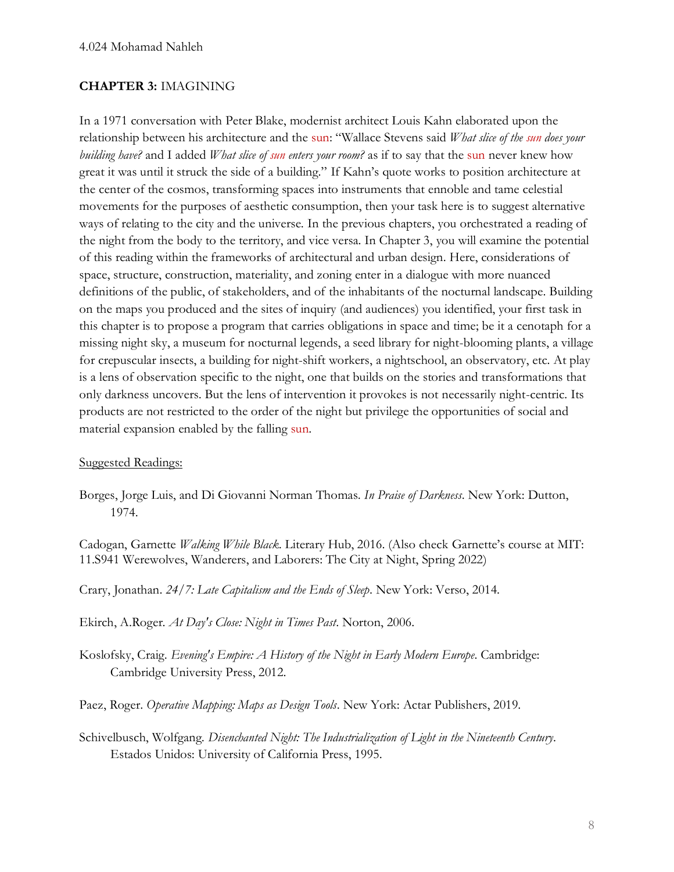#### **CHAPTER 3:** IMAGINING

In a 1971 conversation with Peter Blake, modernist architect Louis Kahn elaborated upon the relationship between his architecture and the sun: "Wallace Stevens said *What slice of the sun does your building have?* and I added *What slice of sun enters your room?* as if to say that the sun never knew how great it was until it struck the side of a building." If Kahn's quote works to position architecture at the center of the cosmos, transforming spaces into instruments that ennoble and tame celestial movements for the purposes of aesthetic consumption, then your task here is to suggest alternative ways of relating to the city and the universe. In the previous chapters, you orchestrated a reading of the night from the body to the territory, and vice versa. In Chapter 3, you will examine the potential of this reading within the frameworks of architectural and urban design. Here, considerations of space, structure, construction, materiality, and zoning enter in a dialogue with more nuanced definitions of the public, of stakeholders, and of the inhabitants of the nocturnal landscape. Building on the maps you produced and the sites of inquiry (and audiences) you identified, your first task in this chapter is to propose a program that carries obligations in space and time; be it a cenotaph for a missing night sky, a museum for nocturnal legends, a seed library for night-blooming plants, a village for crepuscular insects, a building for night-shift workers, a nightschool, an observatory, etc. At play is a lens of observation specific to the night, one that builds on the stories and transformations that only darkness uncovers. But the lens of intervention it provokes is not necessarily night-centric. Its products are not restricted to the order of the night but privilege the opportunities of social and material expansion enabled by the falling sun.

#### Suggested Readings:

Borges, Jorge Luis, and Di Giovanni Norman Thomas. *In Praise of Darkness*. New York: Dutton, 1974.

[Cadogan, Garnette](https://dusp.mit.edu/faculty/garnette-cadogan) *[Walking While Black](https://dusp.mit.edu/publication/walking-while-black)*. Literary Hub, 2016. (Also check Garnette's course at MIT: 11.S941 Werewolves, Wanderers, and Laborers: The City at Night, Spring 2022)

Crary, Jonathan. *24/7: Late Capitalism and the Ends of Sleep*. New York: Verso, 2014.

Ekirch, A.Roger. *At Day's Close: Night in Times Past*. Norton, 2006.

Koslofsky, Craig. *Evening's Empire: A History of the Night in Early Modern Europe*. Cambridge: Cambridge University Press, 2012.

Paez, Roger. *Operative Mapping: Maps as Design Tools*. New York: Actar Publishers, 2019.

Schivelbusch, Wolfgang. *Disenchanted Night: The Industrialization of Light in the Nineteenth Century*. Estados Unidos: University of California Press, 1995.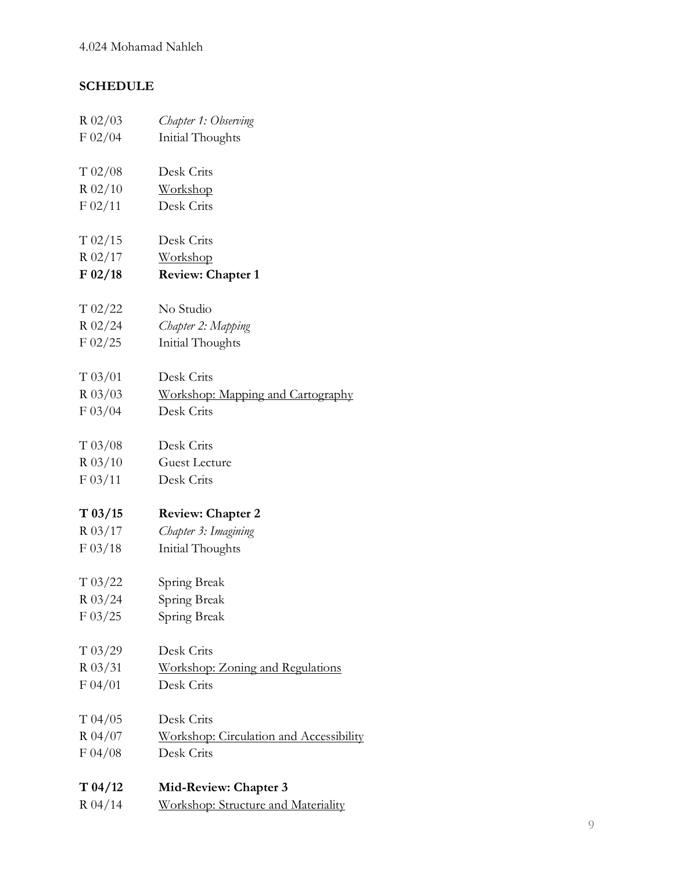## **SCHEDULE**

| $R$ 02/03   | Chapter 1: Observing                    |
|-------------|-----------------------------------------|
| F 02/04     | Initial Thoughts                        |
|             |                                         |
| T 02/08     | Desk Crits                              |
| $R$ 02/10   | Workshop                                |
| $F_{02}/11$ | Desk Crits                              |
| $T_{02/15}$ | Desk Crits                              |
| $R$ 02/17   | Workshop                                |
| F 02/18     | <b>Review: Chapter 1</b>                |
| T 02/22     | No Studio                               |
| $R$ 02/24   | Chapter 2: Mapping                      |
| F 02/25     | Initial Thoughts                        |
| T 03/01     | Desk Crits                              |
| $R_{03}/03$ | Workshop: Mapping and Cartography       |
| F 03/04     | Desk Crits                              |
| T 03/08     | Desk Crits                              |
| $R$ 03/10   | <b>Guest Lecture</b>                    |
| F 03/11     | Desk Crits                              |
| T 03/15     | <b>Review: Chapter 2</b>                |
| $R_{03/17}$ | Chapter 3: Imagining                    |
| F 03/18     | Initial Thoughts                        |
| T 03/22     | Spring Break                            |
| $R_{03/24}$ | Spring Break                            |
| $F\,03/25$  | Spring Break                            |
| T 03/29     | Desk Crits                              |
| $R$ 03/31   | Workshop: Zoning and Regulations        |
| F 04/01     | Desk Crits                              |
| T 04/05     | Desk Crits                              |
| $R_{04}/07$ | Workshop: Circulation and Accessibility |
| F 04/08     | Desk Crits                              |
| T 04/12     | Mid-Review: Chapter 3                   |
| R 04/14     | Workshop: Structure and Materiality     |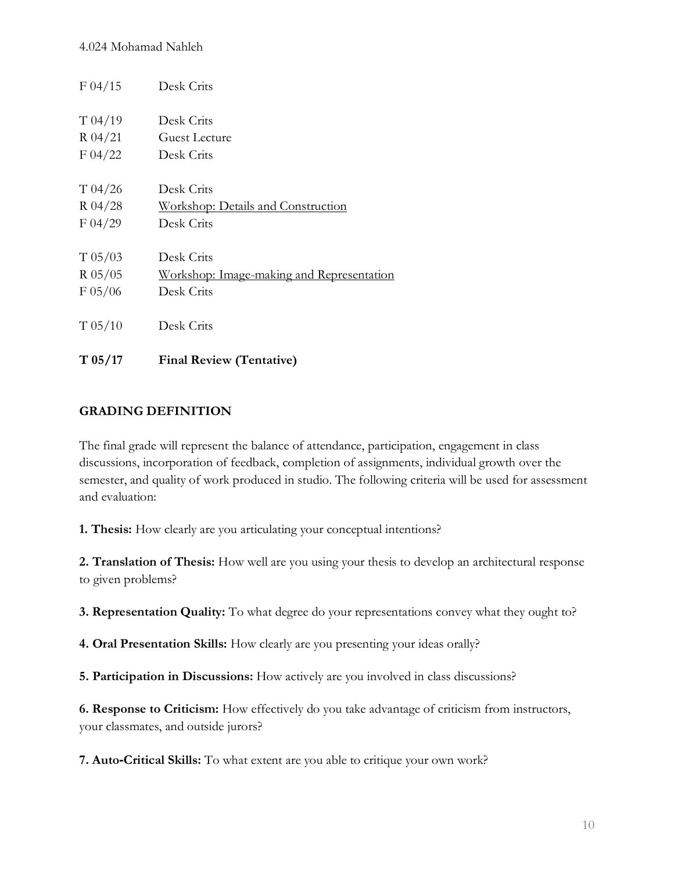| F 04/15     | Desk Crits                                |
|-------------|-------------------------------------------|
| T 04/19     | Desk Crits                                |
| $R_{04}/21$ | Guest Lecture                             |
| F 04/22     | Desk Crits                                |
| T 04/26     | Desk Crits                                |
| $R_{04}/28$ | <b>Workshop: Details and Construction</b> |
| F 04/29     | Desk Crits                                |
| T 05/03     | Desk Crits                                |
| $R$ 05/05   | Workshop: Image-making and Representation |
| F 05/06     | Desk Crits                                |
| T 05/10     | Desk Crits                                |
| T 05/17     | <b>Final Review (Tentative)</b>           |

## **GRADING DEFINITION**

The final grade will represent the balance of attendance, participation, engagement in class discussions, incorporation of feedback, completion of assignments, individual growth over the semester, and quality of work produced in studio. The following criteria will be used for assessment and evaluation:

**1. Thesis:** How clearly are you articulating your conceptual intentions?

**2. Translation of Thesis:** How well are you using your thesis to develop an architectural response to given problems?

**3. Representation Quality:** To what degree do your representations convey what they ought to?

**4. Oral Presentation Skills:** How clearly are you presenting your ideas orally?

**5. Participation in Discussions:** How actively are you involved in class discussions?

**6. Response to Criticism:** How effectively do you take advantage of criticism from instructors, your classmates, and outside jurors?

**7. Auto**‐**Critical Skills:** To what extent are you able to critique your own work?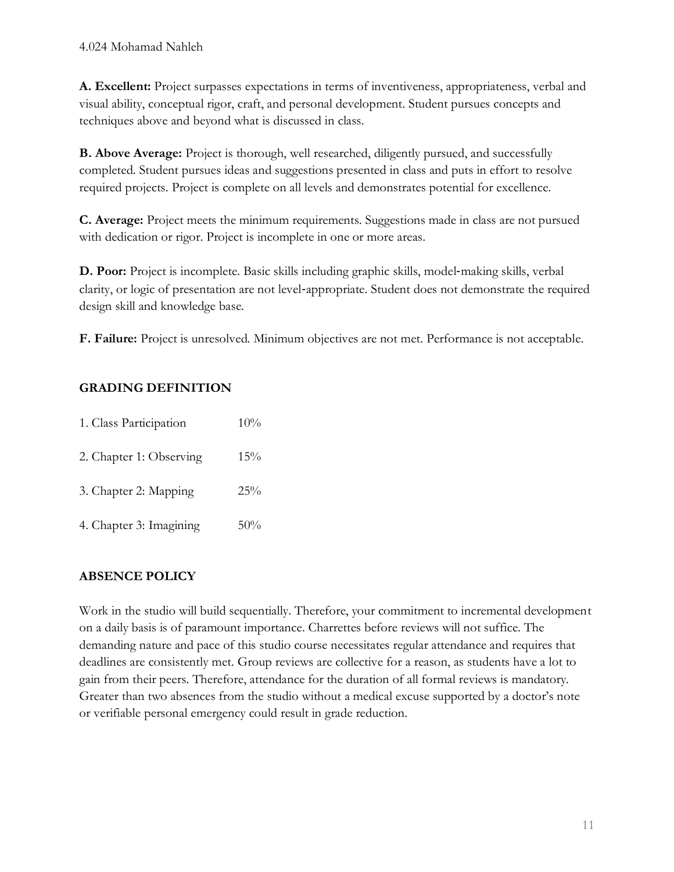**A. Excellent:** Project surpasses expectations in terms of inventiveness, appropriateness, verbal and visual ability, conceptual rigor, craft, and personal development. Student pursues concepts and techniques above and beyond what is discussed in class.

**B. Above Average:** Project is thorough, well researched, diligently pursued, and successfully completed. Student pursues ideas and suggestions presented in class and puts in effort to resolve required projects. Project is complete on all levels and demonstrates potential for excellence.

**C. Average:** Project meets the minimum requirements. Suggestions made in class are not pursued with dedication or rigor. Project is incomplete in one or more areas.

**D. Poor:** Project is incomplete. Basic skills including graphic skills, model‐making skills, verbal clarity, or logic of presentation are not level‐appropriate. Student does not demonstrate the required design skill and knowledge base.

**F. Failure:** Project is unresolved. Minimum objectives are not met. Performance is not acceptable.

## **GRADING DEFINITION**

| 1. Class Participation  | 10% |
|-------------------------|-----|
| 2. Chapter 1: Observing | 15% |
| 3. Chapter 2: Mapping   | 25% |
| 4. Chapter 3: Imagining | 50% |

## **ABSENCE POLICY**

Work in the studio will build sequentially. Therefore, your commitment to incremental development on a daily basis is of paramount importance. Charrettes before reviews will not suffice. The demanding nature and pace of this studio course necessitates regular attendance and requires that deadlines are consistently met. Group reviews are collective for a reason, as students have a lot to gain from their peers. Therefore, attendance for the duration of all formal reviews is mandatory. Greater than two absences from the studio without a medical excuse supported by a doctor's note or verifiable personal emergency could result in grade reduction.